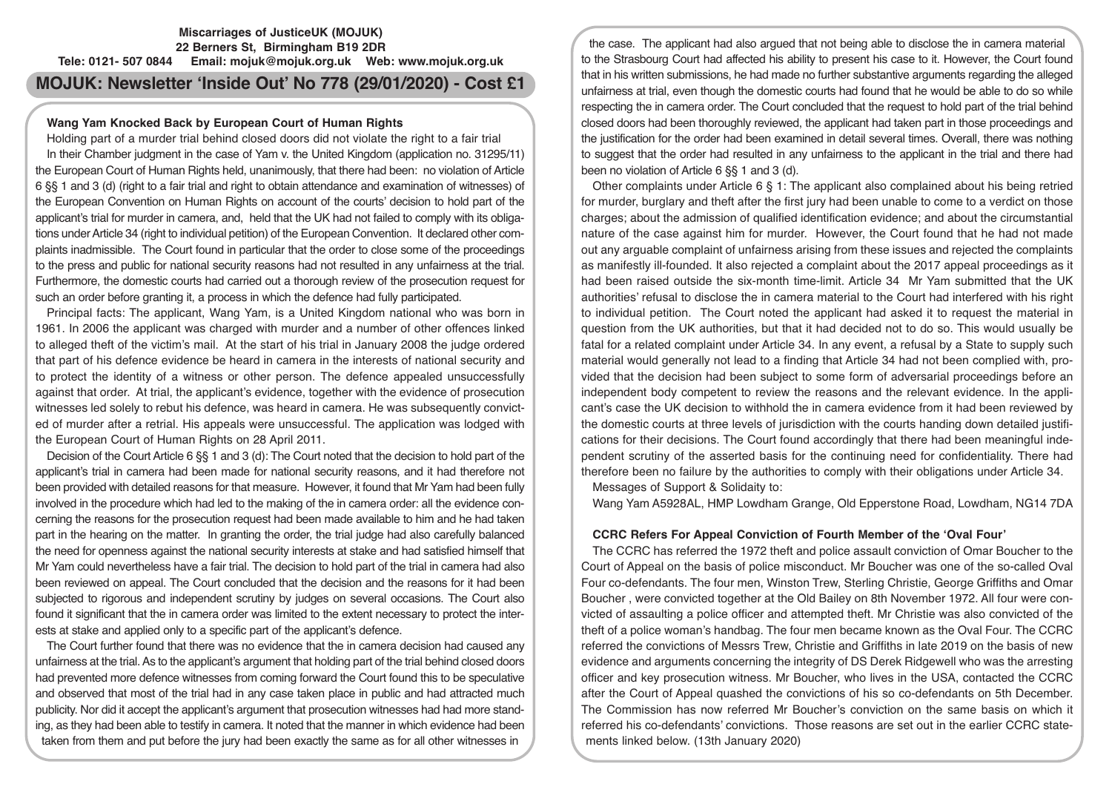# **Miscarriages of JusticeUK (MOJUK) 22 Berners St, Birmingham B19 2DR Tele: 0121- 507 0844 Email: mojuk@mojuk.org.uk Web: www.mojuk.org.uk**

# **MOJUK: Newsletter 'Inside Out' No 778 (29/01/2020) - Cost £1**

# **Wang Yam Knocked Back by European Court of Human Rights**

Holding part of a murder trial behind closed doors did not violate the right to a fair trial In their Chamber judgment in the case of Yam v. the United Kingdom (application no. 31295/11) the European Court of Human Rights held, unanimously, that there had been: no violation of Article 6 §§ 1 and 3 (d) (right to a fair trial and right to obtain attendance and examination of witnesses) of the European Convention on Human Rights on account of the courts' decision to hold part of the applicant's trial for murder in camera, and, held that the UK had not failed to comply with its obligations under Article 34 (right to individual petition) of the European Convention. It declared other complaints inadmissible. The Court found in particular that the order to close some of the proceedings to the press and public for national security reasons had not resulted in any unfairness at the trial. Furthermore, the domestic courts had carried out a thorough review of the prosecution request for such an order before granting it, a process in which the defence had fully participated.

Principal facts: The applicant, Wang Yam, is a United Kingdom national who was born in 1961. In 2006 the applicant was charged with murder and a number of other offences linked to alleged theft of the victim's mail. At the start of his trial in January 2008 the judge ordered that part of his defence evidence be heard in camera in the interests of national security and to protect the identity of a witness or other person. The defence appealed unsuccessfully against that order. At trial, the applicant's evidence, together with the evidence of prosecution witnesses led solely to rebut his defence, was heard in camera. He was subsequently convicted of murder after a retrial. His appeals were unsuccessful. The application was lodged with the European Court of Human Rights on 28 April 2011.

Decision of the Court Article 6 §§ 1 and 3 (d): The Court noted that the decision to hold part of the applicant's trial in camera had been made for national security reasons, and it had therefore not been provided with detailed reasons for that measure. However, it found that Mr Yam had been fully involved in the procedure which had led to the making of the in camera order: all the evidence concerning the reasons for the prosecution request had been made available to him and he had taken part in the hearing on the matter. In granting the order, the trial judge had also carefully balanced the need for openness against the national security interests at stake and had satisfied himself that Mr Yam could nevertheless have a fair trial. The decision to hold part of the trial in camera had also been reviewed on appeal. The Court concluded that the decision and the reasons for it had been subjected to rigorous and independent scrutiny by judges on several occasions. The Court also found it significant that the in camera order was limited to the extent necessary to protect the interests at stake and applied only to a specific part of the applicant's defence.

The Court further found that there was no evidence that the in camera decision had caused any unfairness at the trial. As to the applicant's argument that holding part of the trial behind closed doors had prevented more defence witnesses from coming forward the Court found this to be speculative and observed that most of the trial had in any case taken place in public and had attracted much publicity. Nor did it accept the applicant's argument that prosecution witnesses had had more standing, as they had been able to testify in camera. It noted that the manner in which evidence had been taken from them and put before the jury had been exactly the same as for all other witnesses in

the case. The applicant had also argued that not being able to disclose the in camera material to the Strasbourg Court had affected his ability to present his case to it. However, the Court found that in his written submissions, he had made no further substantive arguments regarding the alleged unfairness at trial, even though the domestic courts had found that he would be able to do so while respecting the in camera order. The Court concluded that the request to hold part of the trial behind closed doors had been thoroughly reviewed, the applicant had taken part in those proceedings and the justification for the order had been examined in detail several times. Overall, there was nothing to suggest that the order had resulted in any unfairness to the applicant in the trial and there had been no violation of Article 6 §§ 1 and 3 (d).

Other complaints under Article 6 § 1: The applicant also complained about his being retried for murder, burglary and theft after the first jury had been unable to come to a verdict on those charges; about the admission of qualified identification evidence; and about the circumstantial nature of the case against him for murder. However, the Court found that he had not made out any arguable complaint of unfairness arising from these issues and rejected the complaints as manifestly ill-founded. It also rejected a complaint about the 2017 appeal proceedings as it had been raised outside the six-month time-limit. Article 34 Mr Yam submitted that the UK authorities' refusal to disclose the in camera material to the Court had interfered with his right to individual petition. The Court noted the applicant had asked it to request the material in question from the UK authorities, but that it had decided not to do so. This would usually be fatal for a related complaint under Article 34. In any event, a refusal by a State to supply such material would generally not lead to a finding that Article 34 had not been complied with, provided that the decision had been subject to some form of adversarial proceedings before an independent body competent to review the reasons and the relevant evidence. In the applicant's case the UK decision to withhold the in camera evidence from it had been reviewed by the domestic courts at three levels of jurisdiction with the courts handing down detailed justifications for their decisions. The Court found accordingly that there had been meaningful independent scrutiny of the asserted basis for the continuing need for confidentiality. There had therefore been no failure by the authorities to comply with their obligations under Article 34.

Messages of Support & Solidaity to:

Wang Yam A5928AL, HMP Lowdham Grange, Old Epperstone Road, Lowdham, NG14 7DA

# **CCRC Refers For Appeal Conviction of Fourth Member of the 'Oval Four'**

The CCRC has referred the 1972 theft and police assault conviction of Omar Boucher to the Court of Appeal on the basis of police misconduct. Mr Boucher was one of the so-called Oval Four co-defendants. The four men, Winston Trew, Sterling Christie, George Griffiths and Omar Boucher , were convicted together at the Old Bailey on 8th November 1972. All four were convicted of assaulting a police officer and attempted theft. Mr Christie was also convicted of the theft of a police woman's handbag. The four men became known as the Oval Four. The CCRC referred the convictions of Messrs Trew, Christie and Griffiths in late 2019 on the basis of new evidence and arguments concerning the integrity of DS Derek Ridgewell who was the arresting officer and key prosecution witness. Mr Boucher, who lives in the USA, contacted the CCRC after the Court of Appeal quashed the convictions of his so co-defendants on 5th December. The Commission has now referred Mr Boucher's conviction on the same basis on which it referred his co-defendants' convictions. Those reasons are set out in the earlier CCRC statements linked below. (13th January 2020)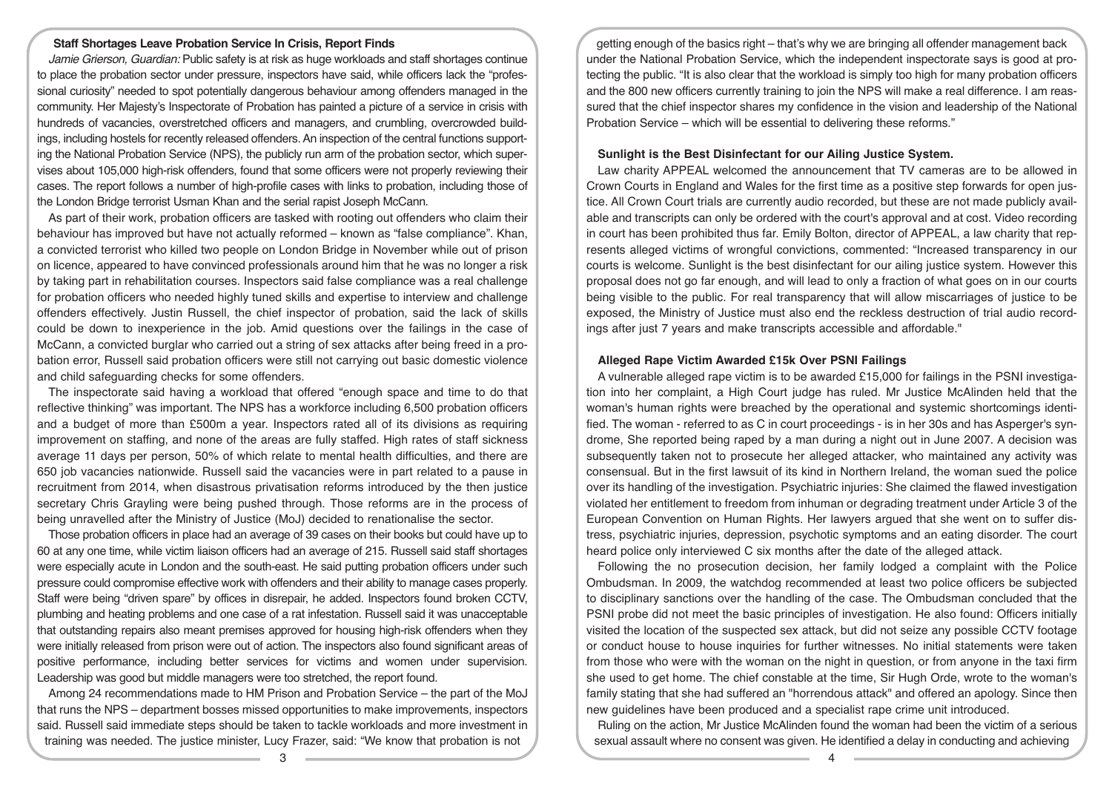#### **Staff Shortages Leave Probation Service In Crisis, Report Finds**

Jamie Grierson, Guardian: Public safety is at risk as huge workloads and staff shortages continue to place the probation sector under pressure, inspectors have said, while officers lack the "professional curiosity" needed to spot potentially dangerous behaviour among offenders managed in the community. Her Majesty's Inspectorate of Probation has painted a picture of a service in crisis with hundreds of vacancies, overstretched officers and managers, and crumbling, overcrowded buildings, including hostels for recently released offenders. An inspection of the central functions supporting the National Probation Service (NPS), the publicly run arm of the probation sector, which supervises about 105,000 high-risk offenders, found that some officers were not properly reviewing their cases. The report follows a number of high-profile cases with links to probation, including those of the London Bridge terrorist Usman Khan and the serial rapist Joseph McCann.

As part of their work, probation officers are tasked with rooting out offenders who claim their behaviour has improved but have not actually reformed – known as "false compliance". Khan, a convicted terrorist who killed two people on London Bridge in November while out of prison on licence, appeared to have convinced professionals around him that he was no longer a risk by taking part in rehabilitation courses. Inspectors said false compliance was a real challenge for probation officers who needed highly tuned skills and expertise to interview and challenge offenders effectively. Justin Russell, the chief inspector of probation, said the lack of skills could be down to inexperience in the job. Amid questions over the failings in the case of McCann, a convicted burglar who carried out a string of sex attacks after being freed in a probation error, Russell said probation officers were still not carrying out basic domestic violence and child safeguarding checks for some offenders.

The inspectorate said having a workload that offered "enough space and time to do that reflective thinking" was important. The NPS has a workforce including 6,500 probation officers and a budget of more than £500m a year. Inspectors rated all of its divisions as requiring improvement on staffing, and none of the areas are fully staffed. High rates of staff sickness average 11 days per person, 50% of which relate to mental health difficulties, and there are 650 job vacancies nationwide. Russell said the vacancies were in part related to a pause in recruitment from 2014, when disastrous privatisation reforms introduced by the then justice secretary Chris Grayling were being pushed through. Those reforms are in the process of being unravelled after the Ministry of Justice (MoJ) decided to renationalise the sector.

Those probation officers in place had an average of 39 cases on their books but could have up to 60 at any one time, while victim liaison officers had an average of 215. Russell said staff shortages were especially acute in London and the south-east. He said putting probation officers under such pressure could compromise effective work with offenders and their ability to manage cases properly. Staff were being "driven spare" by offices in disrepair, he added. Inspectors found broken CCTV, plumbing and heating problems and one case of a rat infestation. Russell said it was unacceptable that outstanding repairs also meant premises approved for housing high-risk offenders when they were initially released from prison were out of action. The inspectors also found significant areas of positive performance, including better services for victims and women under supervision. Leadership was good but middle managers were too stretched, the report found.

Among 24 recommendations made to HM Prison and Probation Service – the part of the MoJ that runs the NPS – department bosses missed opportunities to make improvements, inspectors said. Russell said immediate steps should be taken to tackle workloads and more investment in training was needed. The justice minister, Lucy Frazer, said: "We know that probation is not

getting enough of the basics right – that's why we are bringing all offender management back under the National Probation Service, which the independent inspectorate says is good at protecting the public. "It is also clear that the workload is simply too high for many probation officers and the 800 new officers currently training to join the NPS will make a real difference. I am reassured that the chief inspector shares my confidence in the vision and leadership of the National Probation Service – which will be essential to delivering these reforms."

## **Sunlight is the Best Disinfectant for our Ailing Justice System.**

Law charity APPEAL welcomed the announcement that TV cameras are to be allowed in Crown Courts in England and Wales for the first time as a positive step forwards for open justice. All Crown Court trials are currently audio recorded, but these are not made publicly available and transcripts can only be ordered with the court's approval and at cost. Video recording in court has been prohibited thus far. Emily Bolton, director of APPEAL, a law charity that represents alleged victims of wrongful convictions, commented: "Increased transparency in our courts is welcome. Sunlight is the best disinfectant for our ailing justice system. However this proposal does not go far enough, and will lead to only a fraction of what goes on in our courts being visible to the public. For real transparency that will allow miscarriages of justice to be exposed, the Ministry of Justice must also end the reckless destruction of trial audio recordings after just 7 years and make transcripts accessible and affordable."

# **Alleged Rape Victim Awarded £15k Over PSNI Failings**

A vulnerable alleged rape victim is to be awarded £15,000 for failings in the PSNI investigation into her complaint, a High Court judge has ruled. Mr Justice McAlinden held that the woman's human rights were breached by the operational and systemic shortcomings identified. The woman - referred to as C in court proceedings - is in her 30s and has Asperger's syndrome, She reported being raped by a man during a night out in June 2007. A decision was subsequently taken not to prosecute her alleged attacker, who maintained any activity was consensual. But in the first lawsuit of its kind in Northern Ireland, the woman sued the police over its handling of the investigation. Psychiatric injuries: She claimed the flawed investigation violated her entitlement to freedom from inhuman or degrading treatment under Article 3 of the European Convention on Human Rights. Her lawyers argued that she went on to suffer distress, psychiatric injuries, depression, psychotic symptoms and an eating disorder. The court heard police only interviewed C six months after the date of the alleged attack.

Following the no prosecution decision, her family lodged a complaint with the Police Ombudsman. In 2009, the watchdog recommended at least two police officers be subjected to disciplinary sanctions over the handling of the case. The Ombudsman concluded that the PSNI probe did not meet the basic principles of investigation. He also found: Officers initially visited the location of the suspected sex attack, but did not seize any possible CCTV footage or conduct house to house inquiries for further witnesses. No initial statements were taken from those who were with the woman on the night in question, or from anyone in the taxi firm she used to get home. The chief constable at the time, Sir Hugh Orde, wrote to the woman's family stating that she had suffered an "horrendous attack" and offered an apology. Since then new guidelines have been produced and a specialist rape crime unit introduced.

Ruling on the action, Mr Justice McAlinden found the woman had been the victim of a serious sexual assault where no consent was given. He identified a delay in conducting and achieving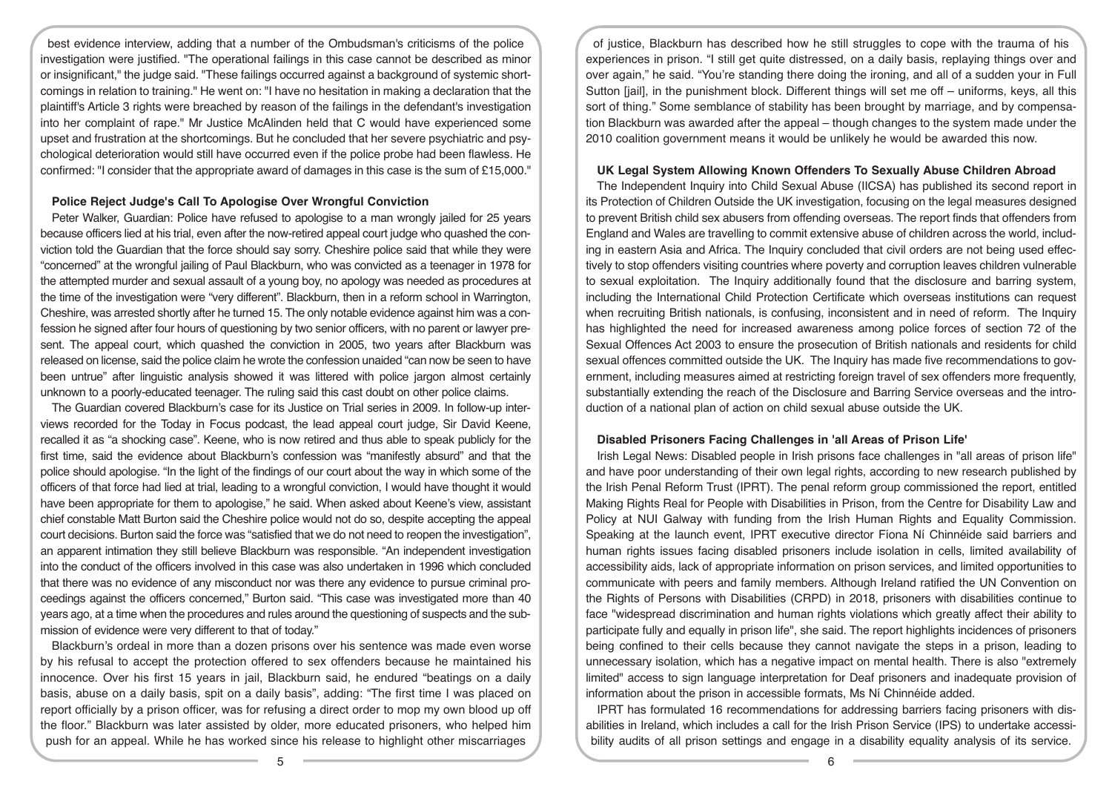best evidence interview, adding that a number of the Ombudsman's criticisms of the police investigation were justified. "The operational failings in this case cannot be described as minor or insignificant," the judge said. "These failings occurred against a background of systemic shortcomings in relation to training." He went on: "I have no hesitation in making a declaration that the plaintiff's Article 3 rights were breached by reason of the failings in the defendant's investigation into her complaint of rape." Mr Justice McAlinden held that C would have experienced some upset and frustration at the shortcomings. But he concluded that her severe psychiatric and psychological deterioration would still have occurred even if the police probe had been flawless. He confirmed: "I consider that the appropriate award of damages in this case is the sum of £15,000."

#### **Police Reject Judge's Call To Apologise Over Wrongful Conviction**

Peter Walker, Guardian: Police have refused to apologise to a man wrongly jailed for 25 years because officers lied at his trial, even after the now-retired appeal court judge who quashed the conviction told the Guardian that the force should say sorry. Cheshire police said that while they were "concerned" at the wrongful jailing of Paul Blackburn, who was convicted as a teenager in 1978 for the attempted murder and sexual assault of a young boy, no apology was needed as procedures at the time of the investigation were "very different". Blackburn, then in a reform school in Warrington, Cheshire, was arrested shortly after he turned 15. The only notable evidence against him was a confession he signed after four hours of questioning by two senior officers, with no parent or lawyer present. The appeal court, which quashed the conviction in 2005, two years after Blackburn was released on license, said the police claim he wrote the confession unaided "can now be seen to have been untrue" after linguistic analysis showed it was littered with police jargon almost certainly unknown to a poorly-educated teenager. The ruling said this cast doubt on other police claims.

The Guardian covered Blackburn's case for its Justice on Trial series in 2009. In follow-up interviews recorded for the Today in Focus podcast, the lead appeal court judge, Sir David Keene, recalled it as "a shocking case". Keene, who is now retired and thus able to speak publicly for the first time, said the evidence about Blackburn's confession was "manifestly absurd" and that the police should apologise. "In the light of the findings of our court about the way in which some of the officers of that force had lied at trial, leading to a wrongful conviction, I would have thought it would have been appropriate for them to apologise," he said. When asked about Keene's view, assistant chief constable Matt Burton said the Cheshire police would not do so, despite accepting the appeal court decisions. Burton said the force was "satisfied that we do not need to reopen the investigation", an apparent intimation they still believe Blackburn was responsible. "An independent investigation into the conduct of the officers involved in this case was also undertaken in 1996 which concluded that there was no evidence of any misconduct nor was there any evidence to pursue criminal proceedings against the officers concerned," Burton said. "This case was investigated more than 40 years ago, at a time when the procedures and rules around the questioning of suspects and the submission of evidence were very different to that of today."

Blackburn's ordeal in more than a dozen prisons over his sentence was made even worse by his refusal to accept the protection offered to sex offenders because he maintained his innocence. Over his first 15 years in jail, Blackburn said, he endured "beatings on a daily basis, abuse on a daily basis, spit on a daily basis", adding: "The first time I was placed on report officially by a prison officer, was for refusing a direct order to mop my own blood up off the floor." Blackburn was later assisted by older, more educated prisoners, who helped him push for an appeal. While he has worked since his release to highlight other miscarriages

of justice, Blackburn has described how he still struggles to cope with the trauma of his experiences in prison. "I still get quite distressed, on a daily basis, replaying things over and over again," he said. "You're standing there doing the ironing, and all of a sudden your in Full Sutton [jail], in the punishment block. Different things will set me off – uniforms, keys, all this sort of thing." Some semblance of stability has been brought by marriage, and by compensation Blackburn was awarded after the appeal – though changes to the system made under the 2010 coalition government means it would be unlikely he would be awarded this now.

# **UK Legal System Allowing Known Offenders To Sexually Abuse Children Abroad**

The Independent Inquiry into Child Sexual Abuse (IICSA) has published its second report in its Protection of Children Outside the UK investigation, focusing on the legal measures designed to prevent British child sex abusers from offending overseas. The report finds that offenders from England and Wales are travelling to commit extensive abuse of children across the world, including in eastern Asia and Africa. The Inquiry concluded that civil orders are not being used effectively to stop offenders visiting countries where poverty and corruption leaves children vulnerable to sexual exploitation. The Inquiry additionally found that the disclosure and barring system, including the International Child Protection Certificate which overseas institutions can request when recruiting British nationals, is confusing, inconsistent and in need of reform. The Inquiry has highlighted the need for increased awareness among police forces of section 72 of the Sexual Offences Act 2003 to ensure the prosecution of British nationals and residents for child sexual offences committed outside the UK. The Inquiry has made five recommendations to government, including measures aimed at restricting foreign travel of sex offenders more frequently, substantially extending the reach of the Disclosure and Barring Service overseas and the introduction of a national plan of action on child sexual abuse outside the UK.

# **Disabled Prisoners Facing Challenges in 'all Areas of Prison Life'**

Irish Legal News: Disabled people in Irish prisons face challenges in "all areas of prison life" and have poor understanding of their own legal rights, according to new research published by the Irish Penal Reform Trust (IPRT). The penal reform group commissioned the report, entitled Making Rights Real for People with Disabilities in Prison, from the Centre for Disability Law and Policy at NUI Galway with funding from the Irish Human Rights and Equality Commission. Speaking at the launch event, IPRT executive director Fíona Ní Chinnéide said barriers and human rights issues facing disabled prisoners include isolation in cells, limited availability of accessibility aids, lack of appropriate information on prison services, and limited opportunities to communicate with peers and family members. Although Ireland ratified the UN Convention on the Rights of Persons with Disabilities (CRPD) in 2018, prisoners with disabilities continue to face "widespread discrimination and human rights violations which greatly affect their ability to participate fully and equally in prison life", she said. The report highlights incidences of prisoners being confined to their cells because they cannot navigate the steps in a prison, leading to unnecessary isolation, which has a negative impact on mental health. There is also "extremely limited" access to sign language interpretation for Deaf prisoners and inadequate provision of information about the prison in accessible formats, Ms Ní Chinnéide added.

IPRT has formulated 16 recommendations for addressing barriers facing prisoners with disabilities in Ireland, which includes a call for the Irish Prison Service (IPS) to undertake accessibility audits of all prison settings and engage in a disability equality analysis of its service.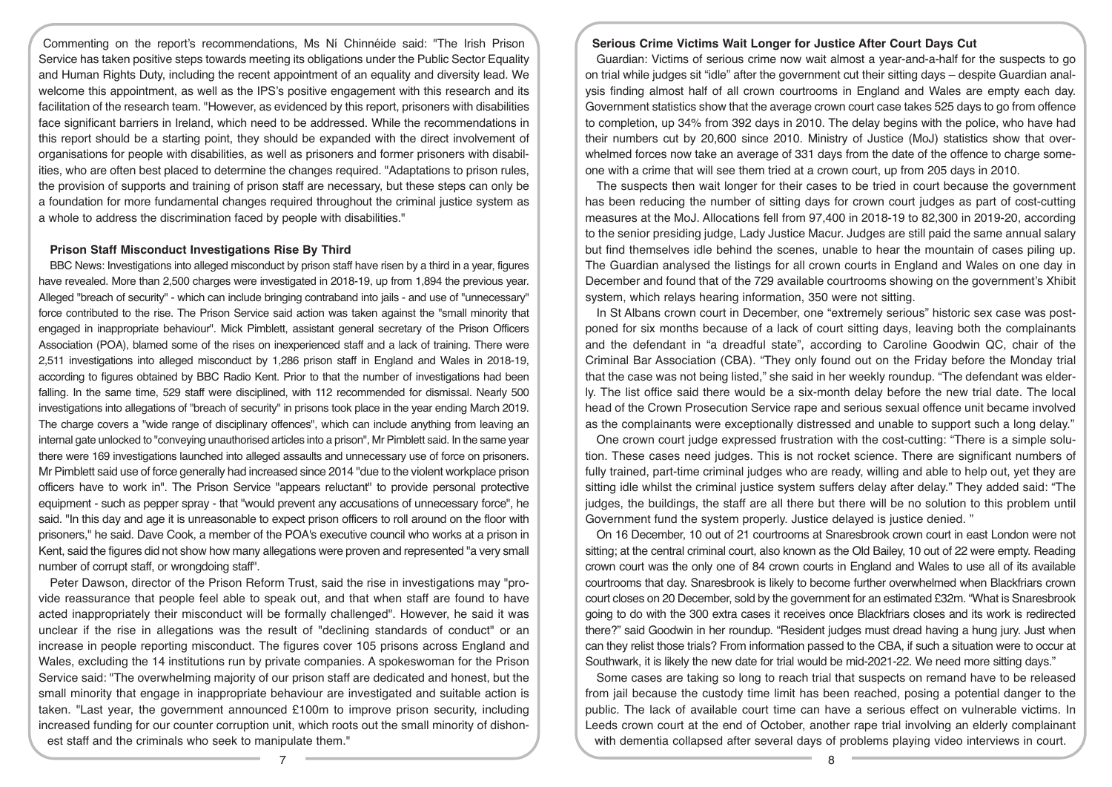Commenting on the report's recommendations, Ms Ní Chinnéide said: "The Irish Prison Service has taken positive steps towards meeting its obligations under the Public Sector Equality and Human Rights Duty, including the recent appointment of an equality and diversity lead. We welcome this appointment, as well as the IPS's positive engagement with this research and its facilitation of the research team. "However, as evidenced by this report, prisoners with disabilities face significant barriers in Ireland, which need to be addressed. While the recommendations in this report should be a starting point, they should be expanded with the direct involvement of organisations for people with disabilities, as well as prisoners and former prisoners with disabilities, who are often best placed to determine the changes required. "Adaptations to prison rules, the provision of supports and training of prison staff are necessary, but these steps can only be a foundation for more fundamental changes required throughout the criminal justice system as a whole to address the discrimination faced by people with disabilities."

#### **Prison Staff Misconduct Investigations Rise By Third**

BBC News: Investigations into alleged misconduct by prison staff have risen by a third in a year, figures have revealed. More than 2,500 charges were investigated in 2018-19, up from 1,894 the previous year. Alleged "breach of security" - which can include bringing contraband into jails - and use of "unnecessary" force contributed to the rise. The Prison Service said action was taken against the "small minority that engaged in inappropriate behaviour". Mick Pimblett, assistant general secretary of the Prison Officers Association (POA), blamed some of the rises on inexperienced staff and a lack of training. There were 2,511 investigations into alleged misconduct by 1,286 prison staff in England and Wales in 2018-19, according to figures obtained by BBC Radio Kent. Prior to that the number of investigations had been falling. In the same time, 529 staff were disciplined, with 112 recommended for dismissal. Nearly 500 investigations into allegations of "breach of security" in prisons took place in the year ending March 2019. The charge covers a "wide range of disciplinary offences", which can include anything from leaving an internal gate unlocked to "conveying unauthorised articles into a prison", Mr Pimblett said. In the same year there were 169 investigations launched into alleged assaults and unnecessary use of force on prisoners. Mr Pimblett said use of force generally had increased since 2014 "due to the violent workplace prison officers have to work in". The Prison Service "appears reluctant" to provide personal protective equipment - such as pepper spray - that "would prevent any accusations of unnecessary force", he said. "In this day and age it is unreasonable to expect prison officers to roll around on the floor with prisoners," he said. Dave Cook, a member of the POA's executive council who works at a prison in Kent, said the figures did not show how many allegations were proven and represented "a very small number of corrupt staff, or wrongdoing staff".

Peter Dawson, director of the Prison Reform Trust, said the rise in investigations may "provide reassurance that people feel able to speak out, and that when staff are found to have acted inappropriately their misconduct will be formally challenged". However, he said it was unclear if the rise in allegations was the result of "declining standards of conduct" or an increase in people reporting misconduct. The figures cover 105 prisons across England and Wales, excluding the 14 institutions run by private companies. A spokeswoman for the Prison Service said: "The overwhelming majority of our prison staff are dedicated and honest, but the small minority that engage in inappropriate behaviour are investigated and suitable action is taken. "Last year, the government announced £100m to improve prison security, including increased funding for our counter corruption unit, which roots out the small minority of dishonest staff and the criminals who seek to manipulate them."

#### **Serious Crime Victims Wait Longer for Justice After Court Days Cut**

Guardian: Victims of serious crime now wait almost a year-and-a-half for the suspects to go on trial while judges sit "idle" after the government cut their sitting days – despite Guardian analysis finding almost half of all crown courtrooms in England and Wales are empty each day. Government statistics show that the average crown court case takes 525 days to go from offence to completion, up 34% from 392 days in 2010. The delay begins with the police, who have had their numbers cut by 20,600 since 2010. Ministry of Justice (MoJ) statistics show that overwhelmed forces now take an average of 331 days from the date of the offence to charge someone with a crime that will see them tried at a crown court, up from 205 days in 2010.

The suspects then wait longer for their cases to be tried in court because the government has been reducing the number of sitting days for crown court judges as part of cost-cutting measures at the MoJ. Allocations fell from 97,400 in 2018-19 to 82,300 in 2019-20, according to the senior presiding judge, Lady Justice Macur. Judges are still paid the same annual salary but find themselves idle behind the scenes, unable to hear the mountain of cases piling up. The Guardian analysed the listings for all crown courts in England and Wales on one day in December and found that of the 729 available courtrooms showing on the government's Xhibit system, which relays hearing information, 350 were not sitting.

In St Albans crown court in December, one "extremely serious" historic sex case was postponed for six months because of a lack of court sitting days, leaving both the complainants and the defendant in "a dreadful state", according to Caroline Goodwin QC, chair of the Criminal Bar Association (CBA). "They only found out on the Friday before the Monday trial that the case was not being listed," she said in her weekly roundup. "The defendant was elderly. The list office said there would be a six-month delay before the new trial date. The local head of the Crown Prosecution Service rape and serious sexual offence unit became involved as the complainants were exceptionally distressed and unable to support such a long delay."

One crown court judge expressed frustration with the cost-cutting: "There is a simple solution. These cases need judges. This is not rocket science. There are significant numbers of fully trained, part-time criminal judges who are ready, willing and able to help out, yet they are sitting idle whilst the criminal justice system suffers delay after delay." They added said: "The judges, the buildings, the staff are all there but there will be no solution to this problem until Government fund the system properly. Justice delayed is justice denied. "

On 16 December, 10 out of 21 courtrooms at Snaresbrook crown court in east London were not sitting; at the central criminal court, also known as the Old Bailey, 10 out of 22 were empty. Reading crown court was the only one of 84 crown courts in England and Wales to use all of its available courtrooms that day. Snaresbrook is likely to become further overwhelmed when Blackfriars crown court closes on 20 December, sold by the government for an estimated £32m. "What is Snaresbrook going to do with the 300 extra cases it receives once Blackfriars closes and its work is redirected there?" said Goodwin in her roundup. "Resident judges must dread having a hung jury. Just when can they relist those trials? From information passed to the CBA, if such a situation were to occur at Southwark, it is likely the new date for trial would be mid-2021-22. We need more sitting days."

Some cases are taking so long to reach trial that suspects on remand have to be released from jail because the custody time limit has been reached, posing a potential danger to the public. The lack of available court time can have a serious effect on vulnerable victims. In Leeds crown court at the end of October, another rape trial involving an elderly complainant with dementia collapsed after several days of problems playing video interviews in court.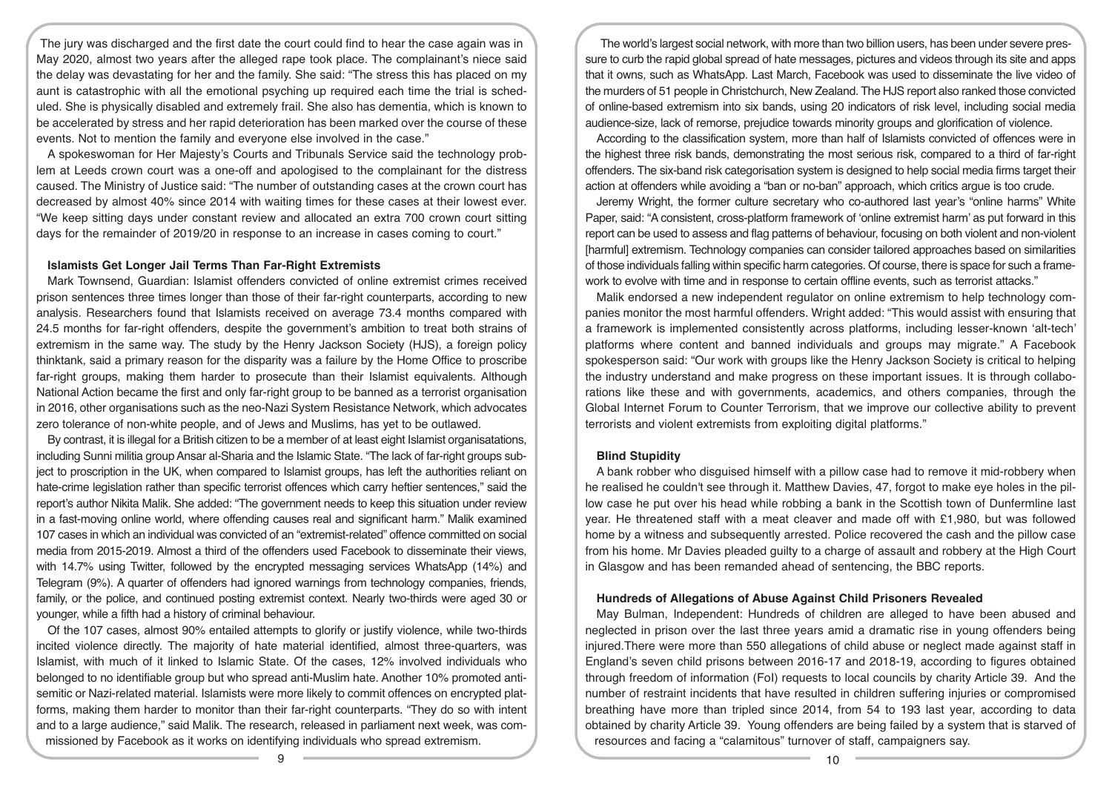The jury was discharged and the first date the court could find to hear the case again was in May 2020, almost two years after the alleged rape took place. The complainant's niece said the delay was devastating for her and the family. She said: "The stress this has placed on my aunt is catastrophic with all the emotional psyching up required each time the trial is scheduled. She is physically disabled and extremely frail. She also has dementia, which is known to be accelerated by stress and her rapid deterioration has been marked over the course of these events. Not to mention the family and everyone else involved in the case."

A spokeswoman for Her Majesty's Courts and Tribunals Service said the technology problem at Leeds crown court was a one-off and apologised to the complainant for the distress caused. The Ministry of Justice said: "The number of outstanding cases at the crown court has decreased by almost 40% since 2014 with waiting times for these cases at their lowest ever. "We keep sitting days under constant review and allocated an extra 700 crown court sitting days for the remainder of 2019/20 in response to an increase in cases coming to court."

#### **Islamists Get Longer Jail Terms Than Far-Right Extremists**

Mark Townsend, Guardian: Islamist offenders convicted of online extremist crimes received prison sentences three times longer than those of their far-right counterparts, according to new analysis. Researchers found that Islamists received on average 73.4 months compared with 24.5 months for far-right offenders, despite the government's ambition to treat both strains of extremism in the same way. The study by the Henry Jackson Society (HJS), a foreign policy thinktank, said a primary reason for the disparity was a failure by the Home Office to proscribe far-right groups, making them harder to prosecute than their Islamist equivalents. Although National Action became the first and only far-right group to be banned as a terrorist organisation in 2016, other organisations such as the neo-Nazi System Resistance Network, which advocates zero tolerance of non-white people, and of Jews and Muslims, has yet to be outlawed.

By contrast, it is illegal for a British citizen to be a member of at least eight Islamist organisatations, including Sunni militia group Ansar al-Sharia and the Islamic State. "The lack of far-right groups subject to proscription in the UK, when compared to Islamist groups, has left the authorities reliant on hate-crime legislation rather than specific terrorist offences which carry heftier sentences," said the report's author Nikita Malik. She added: "The government needs to keep this situation under review in a fast-moving online world, where offending causes real and significant harm." Malik examined 107 cases in which an individual was convicted of an "extremist-related" offence committed on social media from 2015-2019. Almost a third of the offenders used Facebook to disseminate their views, with 14.7% using Twitter, followed by the encrypted messaging services WhatsApp (14%) and Telegram (9%). A quarter of offenders had ignored warnings from technology companies, friends, family, or the police, and continued posting extremist context. Nearly two-thirds were aged 30 or younger, while a fifth had a history of criminal behaviour.

Of the 107 cases, almost 90% entailed attempts to glorify or justify violence, while two-thirds incited violence directly. The majority of hate material identified, almost three-quarters, was Islamist, with much of it linked to Islamic State. Of the cases, 12% involved individuals who belonged to no identifiable group but who spread anti-Muslim hate. Another 10% promoted antisemitic or Nazi-related material. Islamists were more likely to commit offences on encrypted platforms, making them harder to monitor than their far-right counterparts. "They do so with intent and to a large audience," said Malik. The research, released in parliament next week, was commissioned by Facebook as it works on identifying individuals who spread extremism.

The world's largest social network, with more than two billion users, has been under severe pressure to curb the rapid global spread of hate messages, pictures and videos through its site and apps that it owns, such as WhatsApp. Last March, Facebook was used to disseminate the live video of the murders of 51 people in Christchurch, New Zealand. The HJS report also ranked those convicted of online-based extremism into six bands, using 20 indicators of risk level, including social media audience-size, lack of remorse, prejudice towards minority groups and glorification of violence.

According to the classification system, more than half of Islamists convicted of offences were in the highest three risk bands, demonstrating the most serious risk, compared to a third of far-right offenders. The six-band risk categorisation system is designed to help social media firms target their action at offenders while avoiding a "ban or no-ban" approach, which critics argue is too crude.

Jeremy Wright, the former culture secretary who co-authored last year's "online harms" White Paper, said: "A consistent, cross-platform framework of 'online extremist harm' as put forward in this report can be used to assess and flag patterns of behaviour, focusing on both violent and non-violent [harmful] extremism. Technology companies can consider tailored approaches based on similarities of those individuals falling within specific harm categories. Of course, there is space for such a framework to evolve with time and in response to certain offline events, such as terrorist attacks."

Malik endorsed a new independent regulator on online extremism to help technology companies monitor the most harmful offenders. Wright added: "This would assist with ensuring that a framework is implemented consistently across platforms, including lesser-known 'alt-tech' platforms where content and banned individuals and groups may migrate." A Facebook spokesperson said: "Our work with groups like the Henry Jackson Society is critical to helping the industry understand and make progress on these important issues. It is through collaborations like these and with governments, academics, and others companies, through the Global Internet Forum to Counter Terrorism, that we improve our collective ability to prevent terrorists and violent extremists from exploiting digital platforms."

### **Blind Stupidity**

A bank robber who disguised himself with a pillow case had to remove it mid-robbery when he realised he couldn't see through it. Matthew Davies, 47, forgot to make eye holes in the pillow case he put over his head while robbing a bank in the Scottish town of Dunfermline last year. He threatened staff with a meat cleaver and made off with £1,980, but was followed home by a witness and subsequently arrested. Police recovered the cash and the pillow case from his home. Mr Davies pleaded guilty to a charge of assault and robbery at the High Court in Glasgow and has been remanded ahead of sentencing, the BBC reports.

#### **Hundreds of Allegations of Abuse Against Child Prisoners Revealed**

May Bulman, Independent: Hundreds of children are alleged to have been abused and neglected in prison over the last three years amid a dramatic rise in young offenders being injured.There were more than 550 allegations of child abuse or neglect made against staff in England's seven child prisons between 2016-17 and 2018-19, according to figures obtained through freedom of information (FoI) requests to local councils by charity Article 39. And the number of restraint incidents that have resulted in children suffering injuries or compromised breathing have more than tripled since 2014, from 54 to 193 last year, according to data obtained by charity Article 39. Young offenders are being failed by a system that is starved of resources and facing a "calamitous" turnover of staff, campaigners say.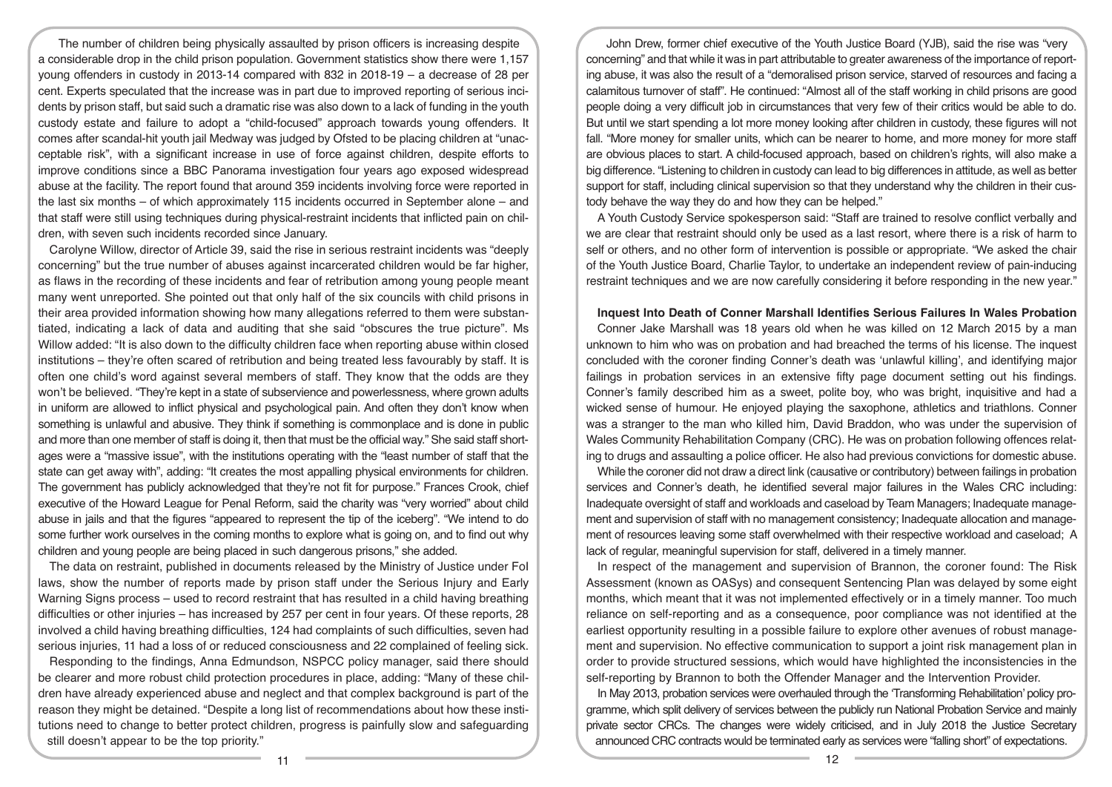The number of children being physically assaulted by prison officers is increasing despite a considerable drop in the child prison population. Government statistics show there were 1,157 young offenders in custody in 2013-14 compared with 832 in 2018-19 – a decrease of 28 per cent. Experts speculated that the increase was in part due to improved reporting of serious incidents by prison staff, but said such a dramatic rise was also down to a lack of funding in the youth custody estate and failure to adopt a "child-focused" approach towards young offenders. It comes after scandal-hit youth jail Medway was judged by Ofsted to be placing children at "unacceptable risk", with a significant increase in use of force against children, despite efforts to improve conditions since a BBC Panorama investigation four years ago exposed widespread abuse at the facility. The report found that around 359 incidents involving force were reported in the last six months – of which approximately 115 incidents occurred in September alone – and that staff were still using techniques during physical-restraint incidents that inflicted pain on children, with seven such incidents recorded since January.

Carolyne Willow, director of Article 39, said the rise in serious restraint incidents was "deeply concerning" but the true number of abuses against incarcerated children would be far higher, as flaws in the recording of these incidents and fear of retribution among young people meant many went unreported. She pointed out that only half of the six councils with child prisons in their area provided information showing how many allegations referred to them were substantiated, indicating a lack of data and auditing that she said "obscures the true picture". Ms Willow added: "It is also down to the difficulty children face when reporting abuse within closed institutions – they're often scared of retribution and being treated less favourably by staff. It is often one child's word against several members of staff. They know that the odds are they won't be believed. "They're kept in a state of subservience and powerlessness, where grown adults in uniform are allowed to inflict physical and psychological pain. And often they don't know when something is unlawful and abusive. They think if something is commonplace and is done in public and more than one member of staff is doing it, then that must be the official way." She said staff shortages were a "massive issue", with the institutions operating with the "least number of staff that the state can get away with", adding: "It creates the most appalling physical environments for children. The government has publicly acknowledged that they're not fit for purpose." Frances Crook, chief executive of the Howard League for Penal Reform, said the charity was "very worried" about child abuse in jails and that the figures "appeared to represent the tip of the iceberg". "We intend to do some further work ourselves in the coming months to explore what is going on, and to find out why children and young people are being placed in such dangerous prisons," she added.

The data on restraint, published in documents released by the Ministry of Justice under FoI laws, show the number of reports made by prison staff under the Serious Injury and Early Warning Signs process – used to record restraint that has resulted in a child having breathing difficulties or other injuries – has increased by 257 per cent in four years. Of these reports, 28 involved a child having breathing difficulties, 124 had complaints of such difficulties, seven had serious injuries, 11 had a loss of or reduced consciousness and 22 complained of feeling sick.

Responding to the findings, Anna Edmundson, NSPCC policy manager, said there should be clearer and more robust child protection procedures in place, adding: "Many of these children have already experienced abuse and neglect and that complex background is part of the reason they might be detained. "Despite a long list of recommendations about how these institutions need to change to better protect children, progress is painfully slow and safeguarding still doesn't appear to be the top priority."

John Drew, former chief executive of the Youth Justice Board (YJB), said the rise was "very concerning" and that while it was in part attributable to greater awareness of the importance of reporting abuse, it was also the result of a "demoralised prison service, starved of resources and facing a calamitous turnover of staff". He continued: "Almost all of the staff working in child prisons are good people doing a very difficult job in circumstances that very few of their critics would be able to do. But until we start spending a lot more money looking after children in custody, these figures will not fall. "More money for smaller units, which can be nearer to home, and more money for more staff are obvious places to start. A child-focused approach, based on children's rights, will also make a big difference. "Listening to children in custody can lead to big differences in attitude, as well as better support for staff, including clinical supervision so that they understand why the children in their custody behave the way they do and how they can be helped."

A Youth Custody Service spokesperson said: "Staff are trained to resolve conflict verbally and we are clear that restraint should only be used as a last resort, where there is a risk of harm to self or others, and no other form of intervention is possible or appropriate. "We asked the chair of the Youth Justice Board, Charlie Taylor, to undertake an independent review of pain-inducing restraint techniques and we are now carefully considering it before responding in the new year."

# **Inquest Into Death of Conner Marshall Identifies Serious Failures In Wales Probation**

Conner Jake Marshall was 18 years old when he was killed on 12 March 2015 by a man unknown to him who was on probation and had breached the terms of his license. The inquest concluded with the coroner finding Conner's death was 'unlawful killing', and identifying major failings in probation services in an extensive fifty page document setting out his findings. Conner's family described him as a sweet, polite boy, who was bright, inquisitive and had a wicked sense of humour. He enjoyed playing the saxophone, athletics and triathlons. Conner was a stranger to the man who killed him, David Braddon, who was under the supervision of Wales Community Rehabilitation Company (CRC). He was on probation following offences relating to drugs and assaulting a police officer. He also had previous convictions for domestic abuse.

While the coroner did not draw a direct link (causative or contributory) between failings in probation services and Conner's death, he identified several major failures in the Wales CRC including: Inadequate oversight of staff and workloads and caseload by Team Managers; Inadequate management and supervision of staff with no management consistency; Inadequate allocation and management of resources leaving some staff overwhelmed with their respective workload and caseload; A lack of regular, meaningful supervision for staff, delivered in a timely manner.

In respect of the management and supervision of Brannon, the coroner found: The Risk Assessment (known as OASys) and consequent Sentencing Plan was delayed by some eight months, which meant that it was not implemented effectively or in a timely manner. Too much reliance on self-reporting and as a consequence, poor compliance was not identified at the earliest opportunity resulting in a possible failure to explore other avenues of robust management and supervision. No effective communication to support a joint risk management plan in order to provide structured sessions, which would have highlighted the inconsistencies in the self-reporting by Brannon to both the Offender Manager and the Intervention Provider.

In May 2013, probation services were overhauled through the 'Transforming Rehabilitation' policy programme, which split delivery of services between the publicly run National Probation Service and mainly private sector CRCs. The changes were widely criticised, and in July 2018 the Justice Secretary announced CRC contracts would be terminated early as services were "falling short" of expectations.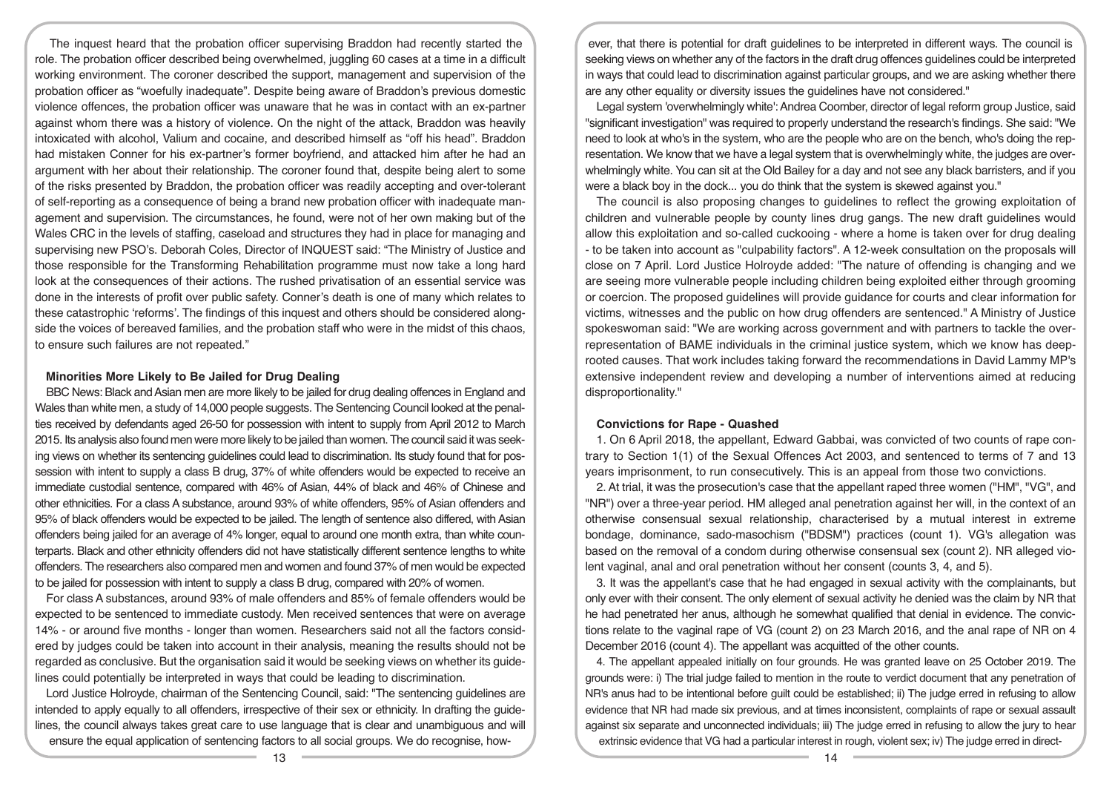The inquest heard that the probation officer supervising Braddon had recently started the role. The probation officer described being overwhelmed, juggling 60 cases at a time in a difficult working environment. The coroner described the support, management and supervision of the probation officer as "woefully inadequate". Despite being aware of Braddon's previous domestic violence offences, the probation officer was unaware that he was in contact with an ex-partner against whom there was a history of violence. On the night of the attack, Braddon was heavily intoxicated with alcohol, Valium and cocaine, and described himself as "off his head". Braddon had mistaken Conner for his ex-partner's former boyfriend, and attacked him after he had an argument with her about their relationship. The coroner found that, despite being alert to some of the risks presented by Braddon, the probation officer was readily accepting and over-tolerant of self-reporting as a consequence of being a brand new probation officer with inadequate management and supervision. The circumstances, he found, were not of her own making but of the Wales CRC in the levels of staffing, caseload and structures they had in place for managing and supervising new PSO's. Deborah Coles, Director of INQUEST said: "The Ministry of Justice and those responsible for the Transforming Rehabilitation programme must now take a long hard look at the consequences of their actions. The rushed privatisation of an essential service was done in the interests of profit over public safety. Conner's death is one of many which relates to these catastrophic 'reforms'. The findings of this inquest and others should be considered alongside the voices of bereaved families, and the probation staff who were in the midst of this chaos, to ensure such failures are not repeated."

#### **Minorities More Likely to Be Jailed for Drug Dealing**

BBC News: Black and Asian men are more likely to be jailed for drug dealing offences in England and Wales than white men, a study of 14,000 people suggests. The Sentencing Council looked at the penalties received by defendants aged 26-50 for possession with intent to supply from April 2012 to March 2015. Its analysis also found men were more likely to be jailed than women. The council said it was seeking views on whether its sentencing guidelines could lead to discrimination. Its study found that for possession with intent to supply a class B drug, 37% of white offenders would be expected to receive an immediate custodial sentence, compared with 46% of Asian, 44% of black and 46% of Chinese and other ethnicities. For a class A substance, around 93% of white offenders, 95% of Asian offenders and 95% of black offenders would be expected to be jailed. The length of sentence also differed, with Asian offenders being jailed for an average of 4% longer, equal to around one month extra, than white counterparts. Black and other ethnicity offenders did not have statistically different sentence lengths to white offenders. The researchers also compared men and women and found 37% of men would be expected to be jailed for possession with intent to supply a class B drug, compared with 20% of women.

For class A substances, around 93% of male offenders and 85% of female offenders would be expected to be sentenced to immediate custody. Men received sentences that were on average 14% - or around five months - longer than women. Researchers said not all the factors considered by judges could be taken into account in their analysis, meaning the results should not be regarded as conclusive. But the organisation said it would be seeking views on whether its guidelines could potentially be interpreted in ways that could be leading to discrimination.

Lord Justice Holroyde, chairman of the Sentencing Council, said: "The sentencing guidelines are intended to apply equally to all offenders, irrespective of their sex or ethnicity. In drafting the quidelines, the council always takes great care to use language that is clear and unambiguous and will ensure the equal application of sentencing factors to all social groups. We do recognise, how-

ever, that there is potential for draft guidelines to be interpreted in different ways. The council is seeking views on whether any of the factors in the draft drug offences guidelines could be interpreted in ways that could lead to discrimination against particular groups, and we are asking whether there are any other equality or diversity issues the guidelines have not considered."

Legal system 'overwhelmingly white': Andrea Coomber, director of legal reform group Justice, said "significant investigation" was required to properly understand the research's findings. She said: "We need to look at who's in the system, who are the people who are on the bench, who's doing the representation. We know that we have a legal system that is overwhelmingly white, the judges are overwhelmingly white. You can sit at the Old Bailey for a day and not see any black barristers, and if you were a black boy in the dock... you do think that the system is skewed against you."

The council is also proposing changes to guidelines to reflect the growing exploitation of children and vulnerable people by county lines drug gangs. The new draft guidelines would allow this exploitation and so-called cuckooing - where a home is taken over for drug dealing - to be taken into account as "culpability factors". A 12-week consultation on the proposals will close on 7 April. Lord Justice Holroyde added: "The nature of offending is changing and we are seeing more vulnerable people including children being exploited either through grooming or coercion. The proposed guidelines will provide guidance for courts and clear information for victims, witnesses and the public on how drug offenders are sentenced." A Ministry of Justice spokeswoman said: "We are working across government and with partners to tackle the overrepresentation of BAME individuals in the criminal justice system, which we know has deeprooted causes. That work includes taking forward the recommendations in David Lammy MP's extensive independent review and developing a number of interventions aimed at reducing disproportionality."

# **Convictions for Rape - Quashed**

1. On 6 April 2018, the appellant, Edward Gabbai, was convicted of two counts of rape contrary to Section 1(1) of the Sexual Offences Act 2003, and sentenced to terms of 7 and 13 years imprisonment, to run consecutively. This is an appeal from those two convictions.

2. At trial, it was the prosecution's case that the appellant raped three women ("HM", "VG", and "NR") over a three-year period. HM alleged anal penetration against her will, in the context of an otherwise consensual sexual relationship, characterised by a mutual interest in extreme bondage, dominance, sado-masochism ("BDSM") practices (count 1). VG's allegation was based on the removal of a condom during otherwise consensual sex (count 2). NR alleged violent vaginal, anal and oral penetration without her consent (counts 3, 4, and 5).

3. It was the appellant's case that he had engaged in sexual activity with the complainants, but only ever with their consent. The only element of sexual activity he denied was the claim by NR that he had penetrated her anus, although he somewhat qualified that denial in evidence. The convictions relate to the vaginal rape of VG (count 2) on 23 March 2016, and the anal rape of NR on 4 December 2016 (count 4). The appellant was acquitted of the other counts.

4. The appellant appealed initially on four grounds. He was granted leave on 25 October 2019. The grounds were: i) The trial judge failed to mention in the route to verdict document that any penetration of NR's anus had to be intentional before guilt could be established; ii) The judge erred in refusing to allow evidence that NR had made six previous, and at times inconsistent, complaints of rape or sexual assault against six separate and unconnected individuals; iii) The judge erred in refusing to allow the jury to hear extrinsic evidence that VG had a particular interest in rough, violent sex; iv) The judge erred in direct